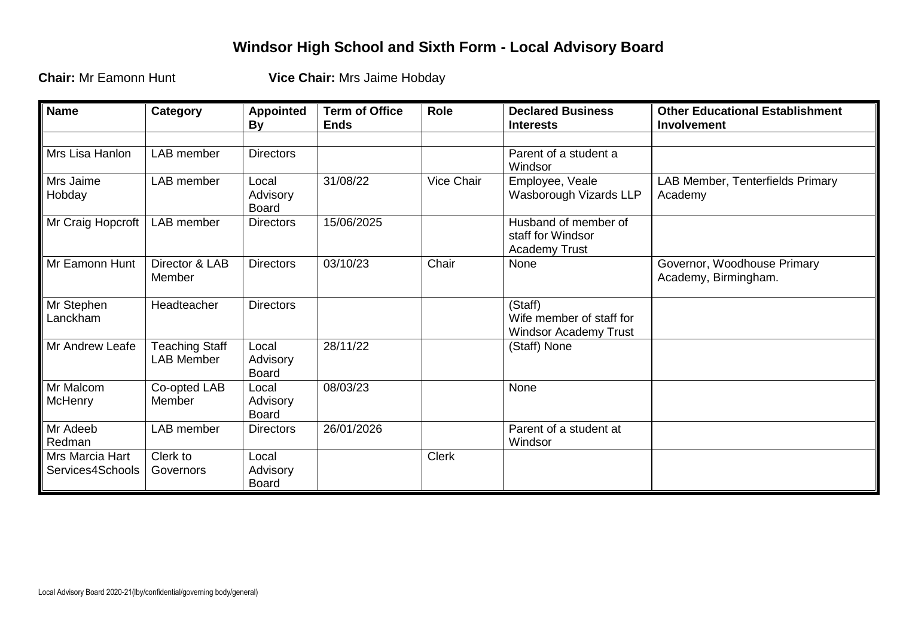## **Windsor High School and Sixth Form - Local Advisory Board**

**Chair:** Mr Eamonn Hunt **Vice Chair:** Mrs Jaime Hobday

| <b>Name</b>                         | Category                            | <b>Appointed</b><br><b>By</b>     | <b>Term of Office</b><br><b>Ends</b> | Role         | <b>Declared Business</b><br><b>Interests</b>                      | <b>Other Educational Establishment</b><br><b>Involvement</b> |
|-------------------------------------|-------------------------------------|-----------------------------------|--------------------------------------|--------------|-------------------------------------------------------------------|--------------------------------------------------------------|
| Mrs Lisa Hanlon                     | LAB member                          | <b>Directors</b>                  |                                      |              | Parent of a student a<br>Windsor                                  |                                                              |
| Mrs Jaime<br>Hobday                 | LAB member                          | Local<br>Advisory<br><b>Board</b> | 31/08/22                             | Vice Chair   | Employee, Veale<br>Wasborough Vizards LLP                         | LAB Member, Tenterfields Primary<br>Academy                  |
| Mr Craig Hopcroft                   | LAB member                          | <b>Directors</b>                  | 15/06/2025                           |              | Husband of member of<br>staff for Windsor<br><b>Academy Trust</b> |                                                              |
| Mr Eamonn Hunt                      | Director & LAB<br>Member            | <b>Directors</b>                  | 03/10/23                             | Chair        | None                                                              | Governor, Woodhouse Primary<br>Academy, Birmingham.          |
| Mr Stephen<br>Lanckham              | Headteacher                         | <b>Directors</b>                  |                                      |              | (Staff)<br>Wife member of staff for<br>Windsor Academy Trust      |                                                              |
| Mr Andrew Leafe                     | Teaching Staff<br><b>LAB Member</b> | Local<br>Advisory<br><b>Board</b> | 28/11/22                             |              | (Staff) None                                                      |                                                              |
| Mr Malcom<br>McHenry                | Co-opted LAB<br>Member              | Local<br>Advisory<br><b>Board</b> | 08/03/23                             |              | None                                                              |                                                              |
| Mr Adeeb<br>Redman                  | LAB member                          | <b>Directors</b>                  | 26/01/2026                           |              | Parent of a student at<br>Windsor                                 |                                                              |
| Mrs Marcia Hart<br>Services4Schools | Clerk to<br>Governors               | Local<br>Advisory<br><b>Board</b> |                                      | <b>Clerk</b> |                                                                   |                                                              |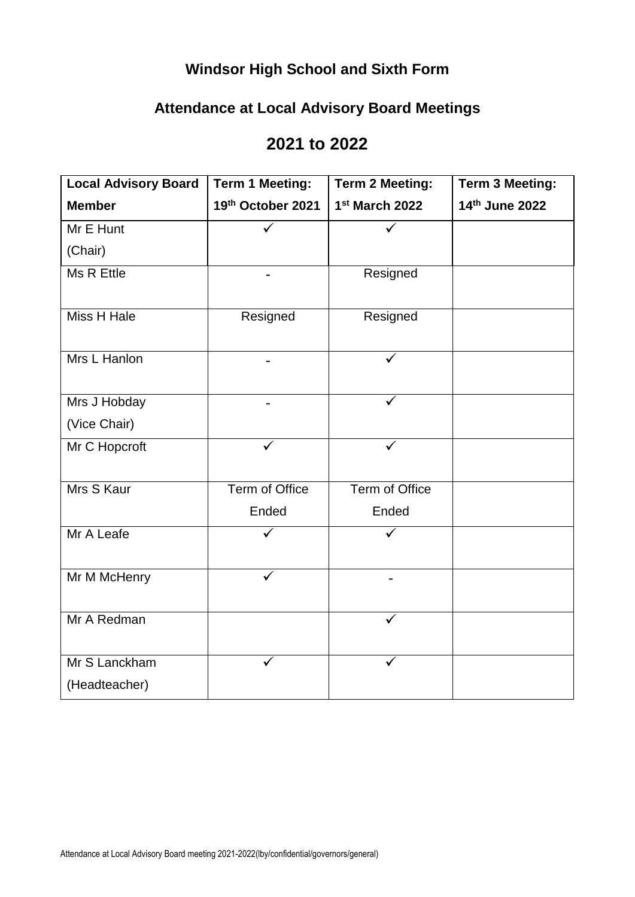# **Windsor High School and Sixth Form**

### **Attendance at Local Advisory Board Meetings**

#### **2021 to 2022**

| <b>Local Advisory Board</b> | <b>Term 1 Meeting:</b> | <b>Term 2 Meeting:</b> | <b>Term 3 Meeting:</b> |
|-----------------------------|------------------------|------------------------|------------------------|
| <b>Member</b>               | 19th October 2021      | 1st March 2022         | 14th June 2022         |
| Mr E Hunt                   | $\checkmark$           | ✓                      |                        |
| (Chair)                     |                        |                        |                        |
| Ms R Ettle                  |                        | Resigned               |                        |
| <b>Miss H Hale</b>          | Resigned               | Resigned               |                        |
| Mrs L Hanlon                |                        |                        |                        |
| Mrs J Hobday                |                        | ✓                      |                        |
| (Vice Chair)                |                        |                        |                        |
| Mr C Hopcroft               | ✓                      | $\checkmark$           |                        |
| Mrs S Kaur                  | Term of Office         | Term of Office         |                        |
|                             | Ended                  | Ended                  |                        |
| Mr A Leafe                  |                        |                        |                        |
| Mr M McHenry                |                        |                        |                        |
| Mr A Redman                 |                        |                        |                        |
| Mr S Lanckham               |                        |                        |                        |
| (Headteacher)               |                        |                        |                        |